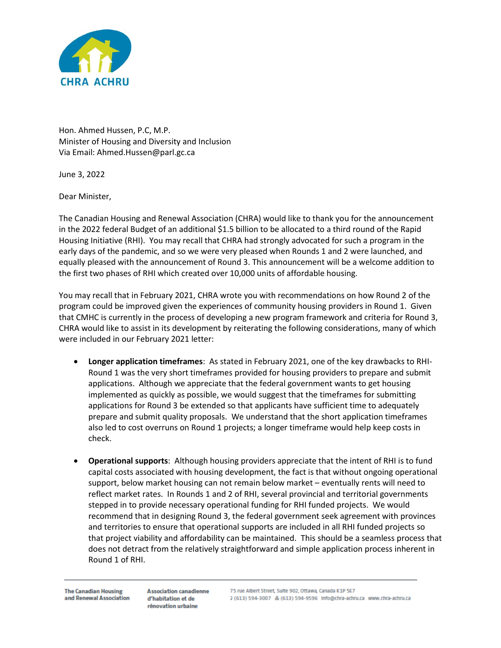

Hon. Ahmed Hussen, P.C, M.P. Minister of Housing and Diversity and Inclusion Via Email: Ahmed.Hussen@parl.gc.ca

June 3, 2022

Dear Minister,

The Canadian Housing and Renewal Association (CHRA) would like to thank you for the announcement in the 2022 federal Budget of an additional \$1.5 billion to be allocated to a third round of the Rapid Housing Initiative (RHI). You may recall that CHRA had strongly advocated for such a program in the early days of the pandemic, and so we were very pleased when Rounds 1 and 2 were launched, and equally pleased with the announcement of Round 3. This announcement will be a welcome addition to the first two phases of RHI which created over 10,000 units of affordable housing.

You may recall that in February 2021, CHRA wrote you with recommendations on how Round 2 of the program could be improved given the experiences of community housing providers in Round 1. Given that CMHC is currently in the process of developing a new program framework and criteria for Round 3, CHRA would like to assist in its development by reiterating the following considerations, many of which were included in our February 2021 letter:

- **Longer application timeframes**: As stated in February 2021, one of the key drawbacks to RHI-Round 1 was the very short timeframes provided for housing providers to prepare and submit applications. Although we appreciate that the federal government wants to get housing implemented as quickly as possible, we would suggest that the timeframes for submitting applications for Round 3 be extended so that applicants have sufficient time to adequately prepare and submit quality proposals. We understand that the short application timeframes also led to cost overruns on Round 1 projects; a longer timeframe would help keep costs in check.
- **Operational supports**: Although housing providers appreciate that the intent of RHI is to fund capital costs associated with housing development, the fact is that without ongoing operational support, below market housing can not remain below market – eventually rents will need to reflect market rates. In Rounds 1 and 2 of RHI, several provincial and territorial governments stepped in to provide necessary operational funding for RHI funded projects. We would recommend that in designing Round 3, the federal government seek agreement with provinces and territories to ensure that operational supports are included in all RHI funded projects so that project viability and affordability can be maintained. This should be a seamless process that does not detract from the relatively straightforward and simple application process inherent in Round 1 of RHI.

**Association canadienne** d'habitation et de rénovation urbaine